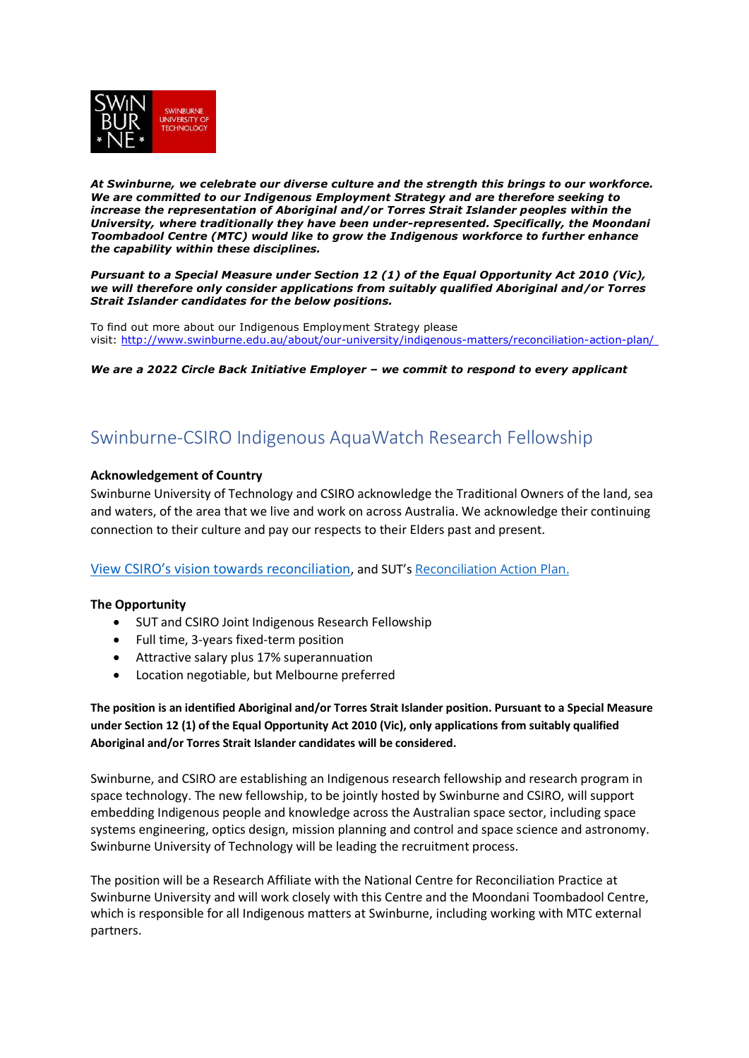

*At Swinburne, we celebrate our diverse culture and the strength this brings to our workforce. We are committed to our Indigenous Employment Strategy and are therefore seeking to increase the representation of Aboriginal and/or Torres Strait Islander peoples within the University, where traditionally they have been under-represented. Specifically, the Moondani Toombadool Centre (MTC) would like to grow the Indigenous workforce to further enhance the capability within these disciplines.*

*Pursuant to a Special Measure under Section 12 (1) of the Equal Opportunity Act 2010 (Vic), we will therefore only consider applications from suitably qualified Aboriginal and/or Torres Strait Islander candidates for the below positions.*

To find out more about our Indigenous Employment Strategy please visit: [http://www.swinburne.edu.au/about/our-university/indigenous-matters/reconciliation-action-plan/](http://www.swinburne.edu.au/about/our-university/indigenous-matters/reconciliation-action-plan/%C2%A0)

*We are a 2022 Circle Back Initiative Employer – we commit to respond to every applicant*

# Swinburne-CSIRO Indigenous AquaWatch Research Fellowship

# **Acknowledgement of Country**

Swinburne University of Technology and CSIRO acknowledge the Traditional Owners of the land, sea and waters, of the area that we live and work on across Australia. We acknowledge their continuing connection to their culture and pay our respects to their Elders past and present.

# View CSIRO's [vision towards reconciliation](https://www.csiro.au/en/about/Indigenous-engagement/Reconciliation-Action-Plan), and SUT's [Reconciliation Action Plan.](http://www.swinburne.edu.au/about/our-unRiversity/indigenous-matters/reconciliation-action-plan/)

# **The Opportunity**

- SUT and CSIRO Joint Indigenous Research Fellowship
- Full time, 3-years fixed-term position
- Attractive salary plus 17% superannuation
- Location negotiable, but Melbourne preferred

**The position is an identified Aboriginal and/or Torres Strait Islander position. Pursuant to a Special Measure under Section 12 (1) of the Equal Opportunity Act 2010 (Vic), only applications from suitably qualified Aboriginal and/or Torres Strait Islander candidates will be considered.**

Swinburne, and CSIRO are establishing an Indigenous research fellowship and research program in space technology. The new fellowship, to be jointly hosted by Swinburne and CSIRO, will support embedding Indigenous people and knowledge across the Australian space sector, including space systems engineering, optics design, mission planning and control and space science and astronomy. Swinburne University of Technology will be leading the recruitment process.

The position will be a Research Affiliate with the National Centre for Reconciliation Practice at Swinburne University and will work closely with this Centre and the Moondani Toombadool Centre, which is responsible for all Indigenous matters at Swinburne, including working with MTC external partners.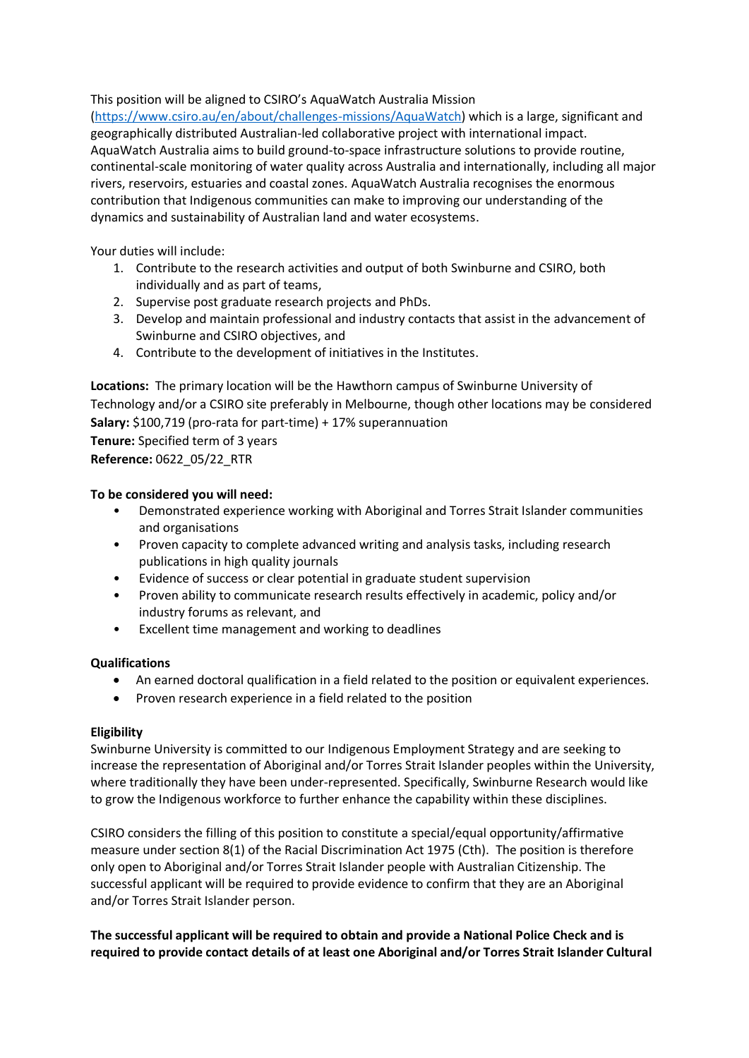This position will be aligned to CSIRO's AquaWatch Australia Mission

[\(https://www.csiro.au/en/about/challenges-missions/AquaWatch\)](https://www.csiro.au/en/about/challenges-missions/AquaWatch) which is a large, significant and geographically distributed Australian-led collaborative project with international impact. AquaWatch Australia aims to build ground-to-space infrastructure solutions to provide routine, continental-scale monitoring of water quality across Australia and internationally, including all major rivers, reservoirs, estuaries and coastal zones. AquaWatch Australia recognises the enormous contribution that Indigenous communities can make to improving our understanding of the dynamics and sustainability of Australian land and water ecosystems.

Your duties will include:

- 1. Contribute to the research activities and output of both Swinburne and CSIRO, both individually and as part of teams,
- 2. Supervise post graduate research projects and PhDs.
- 3. Develop and maintain professional and industry contacts that assist in the advancement of Swinburne and CSIRO objectives, and
- 4. Contribute to the development of initiatives in the Institutes.

**Locations:** The primary location will be the Hawthorn campus of Swinburne University of Technology and/or a CSIRO site preferably in Melbourne, though other locations may be considered **Salary:** \$100,719 (pro-rata for part-time) + 17% superannuation

**Tenure:** Specified term of 3 years **Reference:** 0622\_05/22\_RTR

# **To be considered you will need:**

- Demonstrated experience working with Aboriginal and Torres Strait Islander communities and organisations
- Proven capacity to complete advanced writing and analysis tasks, including research publications in high quality journals
- Evidence of success or clear potential in graduate student supervision
- Proven ability to communicate research results effectively in academic, policy and/or industry forums as relevant, and
- Excellent time management and working to deadlines

# **Qualifications**

- An earned doctoral qualification in a field related to the position or equivalent experiences.
- Proven research experience in a field related to the position

# **Eligibility**

Swinburne University is committed to our Indigenous Employment Strategy and are seeking to increase the representation of Aboriginal and/or Torres Strait Islander peoples within the University, where traditionally they have been under-represented. Specifically, Swinburne Research would like to grow the Indigenous workforce to further enhance the capability within these disciplines.

CSIRO considers the filling of this position to constitute a special/equal opportunity/affirmative measure under section 8(1) of the Racial Discrimination Act 1975 (Cth). The position is therefore only open to Aboriginal and/or Torres Strait Islander people with Australian Citizenship. The successful applicant will be required to provide evidence to confirm that they are an Aboriginal and/or Torres Strait Islander person.

**The successful applicant will be required to obtain and provide a National Police Check and is required to provide contact details of at least one Aboriginal and/or Torres Strait Islander Cultural**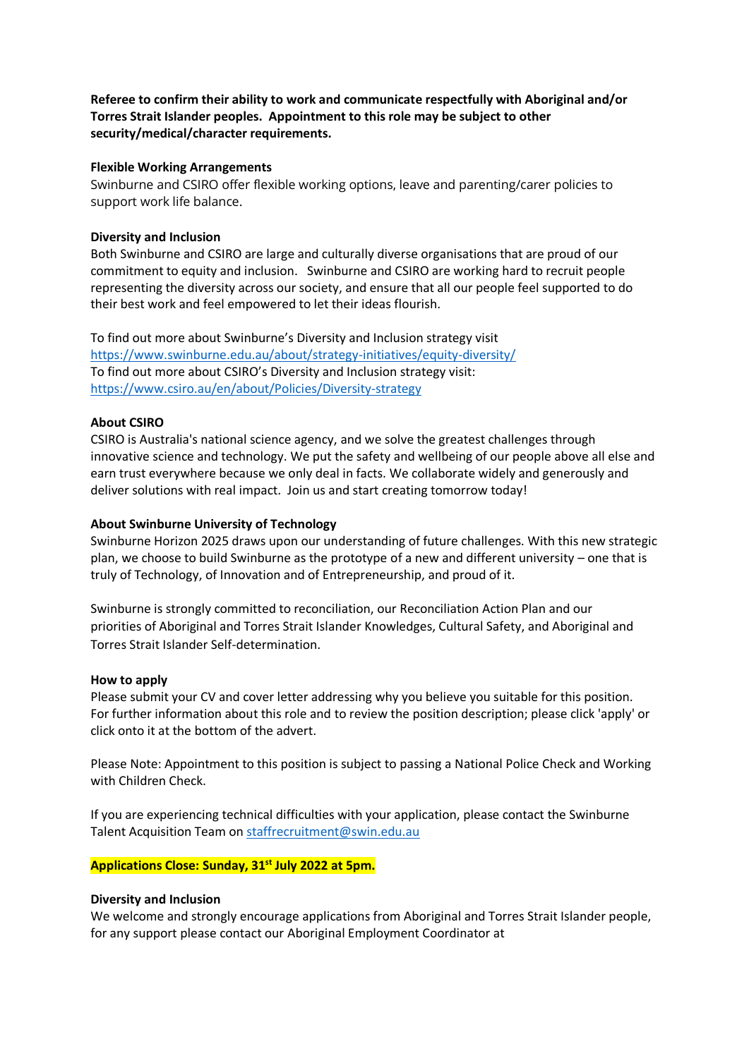**Referee to confirm their ability to work and communicate respectfully with Aboriginal and/or Torres Strait Islander peoples. Appointment to this role may be subject to other security/medical/character requirements.**

# **Flexible Working Arrangements**

Swinburne and CSIRO offer flexible working options, leave and parenting/carer policies to support work life balance.

#### **Diversity and Inclusion**

Both Swinburne and CSIRO are large and culturally diverse organisations that are proud of our commitment to equity and inclusion. Swinburne and CSIRO are working hard to recruit people representing the diversity across our society, and ensure that all our people feel supported to do their best work and feel empowered to let their ideas flourish.

To find out more about Swinburne's Diversity and Inclusion strategy visit <https://www.swinburne.edu.au/about/strategy-initiatives/equity-diversity/> To find out more about CSIRO's Diversity and Inclusion strategy visit: <https://www.csiro.au/en/about/Policies/Diversity-strategy>

# **About CSIRO**

CSIRO is Australia's national science agency, and we solve the greatest challenges through innovative science and technology. We put the safety and wellbeing of our people above all else and earn trust everywhere because we only deal in facts. We collaborate widely and generously and deliver solutions with real impact. Join us and start creating tomorrow today!

#### **About Swinburne University of Technology**

Swinburne Horizon 2025 draws upon our understanding of future challenges. With this new strategic plan, we choose to build Swinburne as the prototype of a new and different university – one that is truly of Technology, of Innovation and of Entrepreneurship, and proud of it.

Swinburne is strongly committed to reconciliation, our [Reconciliation Action Plan](http://www.swinburne.edu.au/about/our-unRiversity/indigenous-matters/reconciliation-action-plan/) and our priorities of Aboriginal and Torres Strait Islander Knowledges, Cultural Safety, and Aboriginal and Torres Strait Islander Self-determination.

#### **How to apply**

Please submit your CV and cover letter addressing why you believe you suitable for this position. For further information about this role and to review the position description; please click 'apply' or click onto it at the bottom of the advert.

Please Note: Appointment to this position is subject to passing a National Police Check and Working with Children Check.

If you are experiencing technical difficulties with your application, please contact the Swinburne Talent Acquisition Team on [staffrecruitment@swin.edu.au](file://///ds.swin.edu.au/staff/group/Dept/HR/3.%20ORGANISATIONAL%20DEVELOPMENT/3.3%20Recruitment/Advertising/2022/Research/staffrecruitment@swin.edu.au)

# **Applications Close: Sunday, 31st July 2022 at 5pm.**

#### **Diversity and Inclusion**

We welcome and strongly encourage applications from Aboriginal and Torres Strait Islander people, for any support please contact our Aboriginal Employment Coordinator at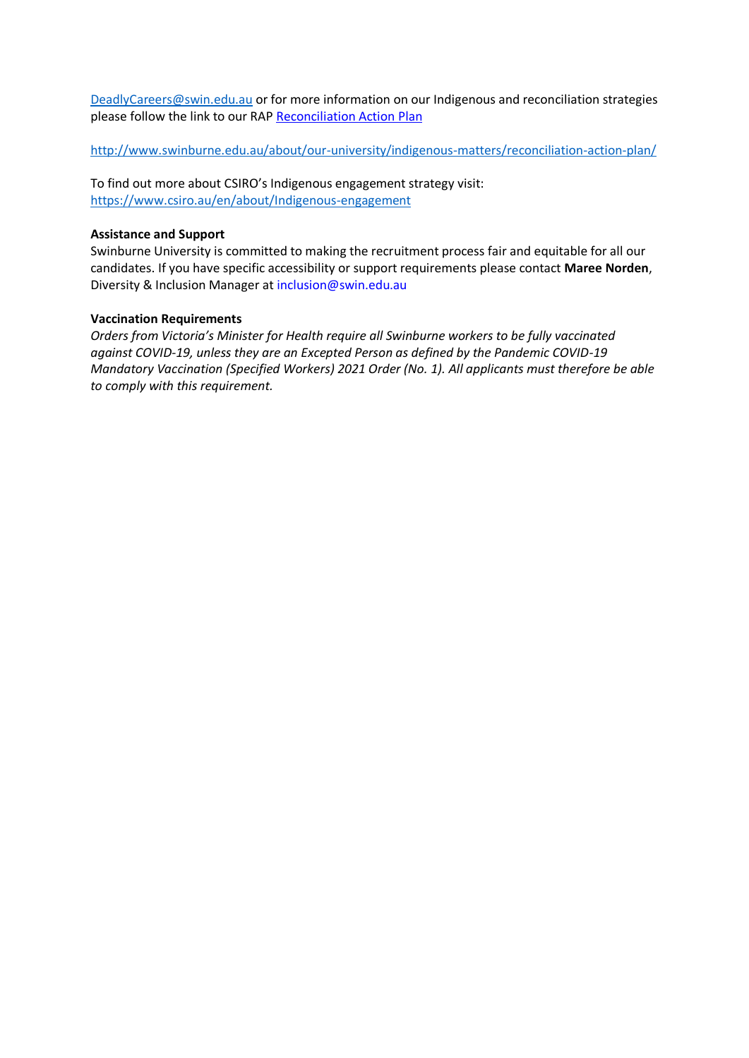[DeadlyCareers@swin.edu.au](mailto:DeadlyCareers@swin.edu.au) or for more information on our Indigenous and reconciliation strategies please follow the link to our RAP [Reconciliation Action Plan](https://www.swinburne.edu.au/about/strategy-initiatives/moondani-toombadool-centre/reconciliation-action-plan/)

<http://www.swinburne.edu.au/about/our-university/indigenous-matters/reconciliation-action-plan/>

To find out more about CSIRO's Indigenous engagement strategy visit: <https://www.csiro.au/en/about/Indigenous-engagement>

# **Assistance and Support**

Swinburne University is committed to making the recruitment process fair and equitable for all our candidates. If you have specific accessibility or support requirements please contact **Maree Norden**, Diversity & Inclusion Manager at [inclusion@swin.edu.au](mailto:inclusion@swin.edu.au)

# **Vaccination Requirements**

*Orders from Victoria's Minister for Health require all Swinburne workers to be fully vaccinated against COVID-19, unless they are an Excepted Person as defined by the Pandemic COVID-19 Mandatory Vaccination (Specified Workers) 2021 Order (No. 1). All applicants must therefore be able to comply with this requirement.*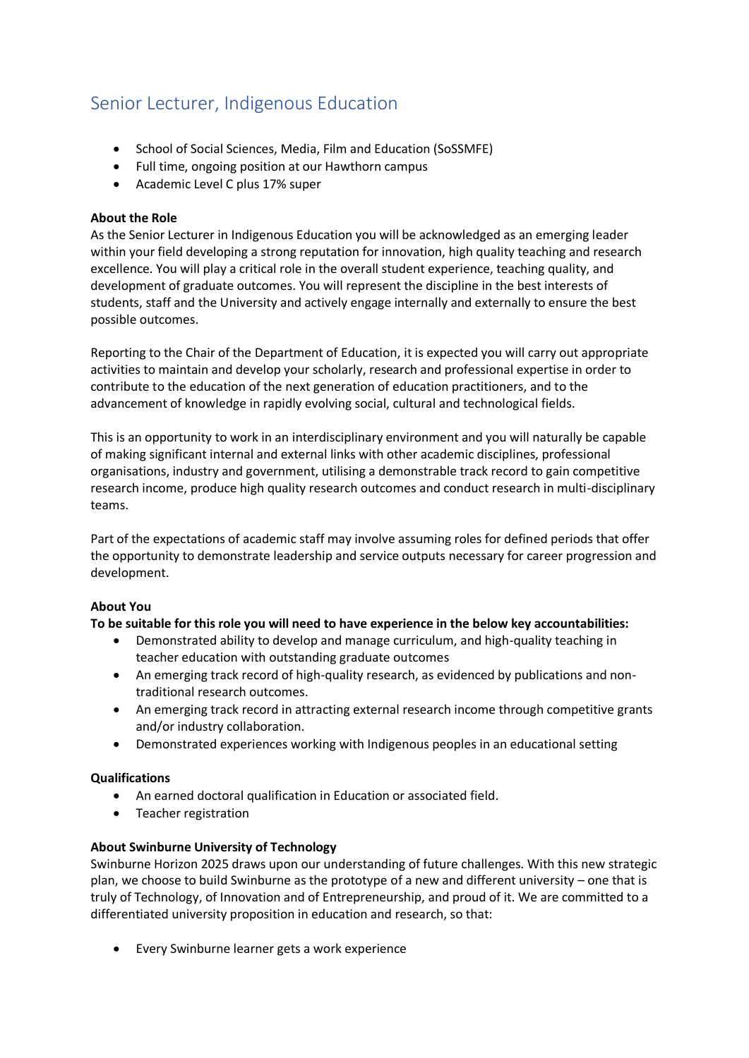# Senior Lecturer, Indigenous Education

- School of Social Sciences, Media, Film and Education (SoSSMFE)
- Full time, ongoing position at our Hawthorn campus
- Academic Level C plus 17% super

# **About the Role**

As the Senior Lecturer in Indigenous Education you will be acknowledged as an emerging leader within your field developing a strong reputation for innovation, high quality teaching and research excellence. You will play a critical role in the overall student experience, teaching quality, and development of graduate outcomes. You will represent the discipline in the best interests of students, staff and the University and actively engage internally and externally to ensure the best possible outcomes.

Reporting to the Chair of the Department of Education, it is expected you will carry out appropriate activities to maintain and develop your scholarly, research and professional expertise in order to contribute to the education of the next generation of education practitioners, and to the advancement of knowledge in rapidly evolving social, cultural and technological fields.

This is an opportunity to work in an interdisciplinary environment and you will naturally be capable of making significant internal and external links with other academic disciplines, professional organisations, industry and government, utilising a demonstrable track record to gain competitive research income, produce high quality research outcomes and conduct research in multi-disciplinary teams.

Part of the expectations of academic staff may involve assuming roles for defined periods that offer the opportunity to demonstrate leadership and service outputs necessary for career progression and development.

# **About You**

# **To be suitable for this role you will need to have experience in the below key accountabilities:**

- Demonstrated ability to develop and manage curriculum, and high-quality teaching in teacher education with outstanding graduate outcomes
- An emerging track record of high-quality research, as evidenced by publications and nontraditional research outcomes.
- An emerging track record in attracting external research income through competitive grants and/or industry collaboration.
- Demonstrated experiences working with Indigenous peoples in an educational setting

# **Qualifications**

- An earned doctoral qualification in Education or associated field.
- Teacher registration

# **About Swinburne University of Technology**

Swinburne Horizon 2025 draws upon our understanding of future challenges. With this new strategic plan, we choose to build Swinburne as the prototype of a new and different university – one that is truly of Technology, of Innovation and of Entrepreneurship, and proud of it. We are committed to a differentiated university proposition in education and research, so that:

• Every Swinburne learner gets a work experience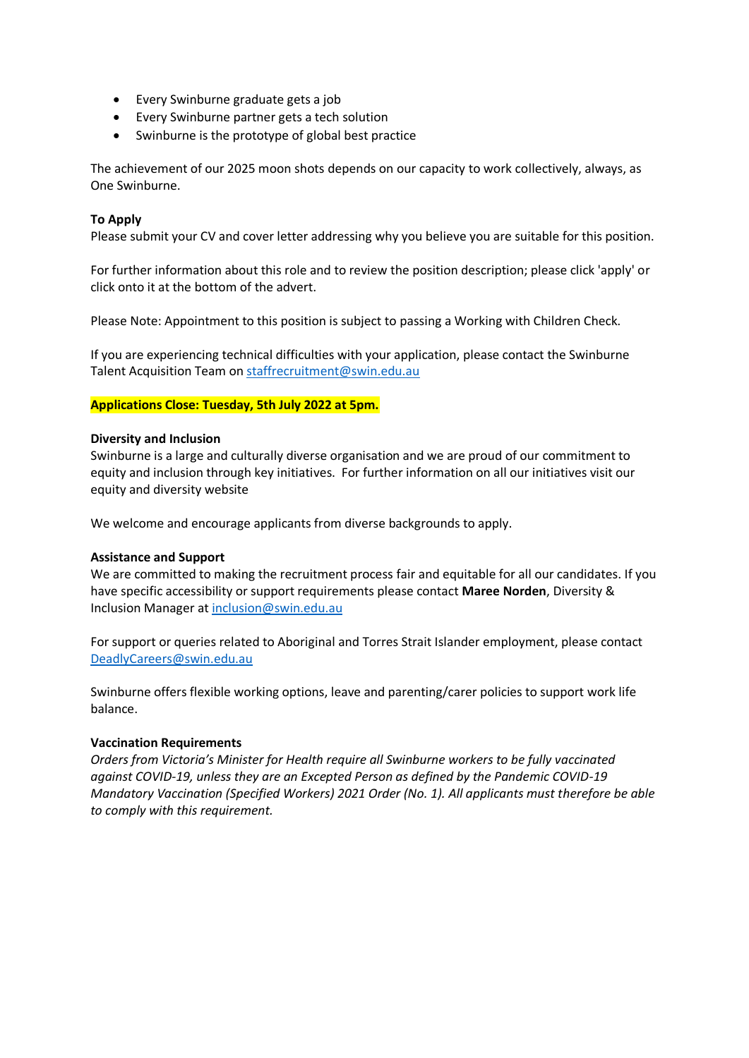- Every Swinburne graduate gets a job
- Every Swinburne partner gets a tech solution
- Swinburne is the prototype of global best practice

The achievement of our 2025 moon shots depends on our capacity to work collectively, always, as One Swinburne.

# **To Apply**

Please submit your CV and cover letter addressing why you believe you are suitable for this position.

For further information about this role and to review the position description; please click 'apply' or click onto it at the bottom of the advert.

Please Note: Appointment to this position is subject to passing a Working with Children Check.

If you are experiencing technical difficulties with your application, please contact the Swinburne Talent Acquisition Team on [staffrecruitment@swin.edu.au](mailto:staffrecruitment@swin.edu.au)

# **Applications Close: Tuesday, 5th July 2022 at 5pm.**

#### **Diversity and Inclusion**

Swinburne is a large and culturally diverse organisation and we are proud of our commitment to equity and inclusion through key initiatives. For further information on all our initiatives visit our equity and diversity website

We welcome and encourage applicants from diverse backgrounds to apply.

# **Assistance and Support**

We are committed to making the recruitment process fair and equitable for all our candidates. If you have specific accessibility or support requirements please contact **Maree Norden**, Diversity & Inclusion Manager a[t inclusion@swin.edu.au](mailto:inclusion@swin.edu.au)

For support or queries related to Aboriginal and Torres Strait Islander employment, please contact [DeadlyCareers@swin.edu.au](mailto:DeadlyCareers@swin.edu.au)

Swinburne offers flexible working options, leave and parenting/carer policies to support work life balance.

#### **Vaccination Requirements**

*Orders from Victoria's Minister for Health require all Swinburne workers to be fully vaccinated against COVID-19, unless they are an Excepted Person as defined by the Pandemic COVID-19 Mandatory Vaccination (Specified Workers) 2021 Order (No. 1). All applicants must therefore be able to comply with this requirement.*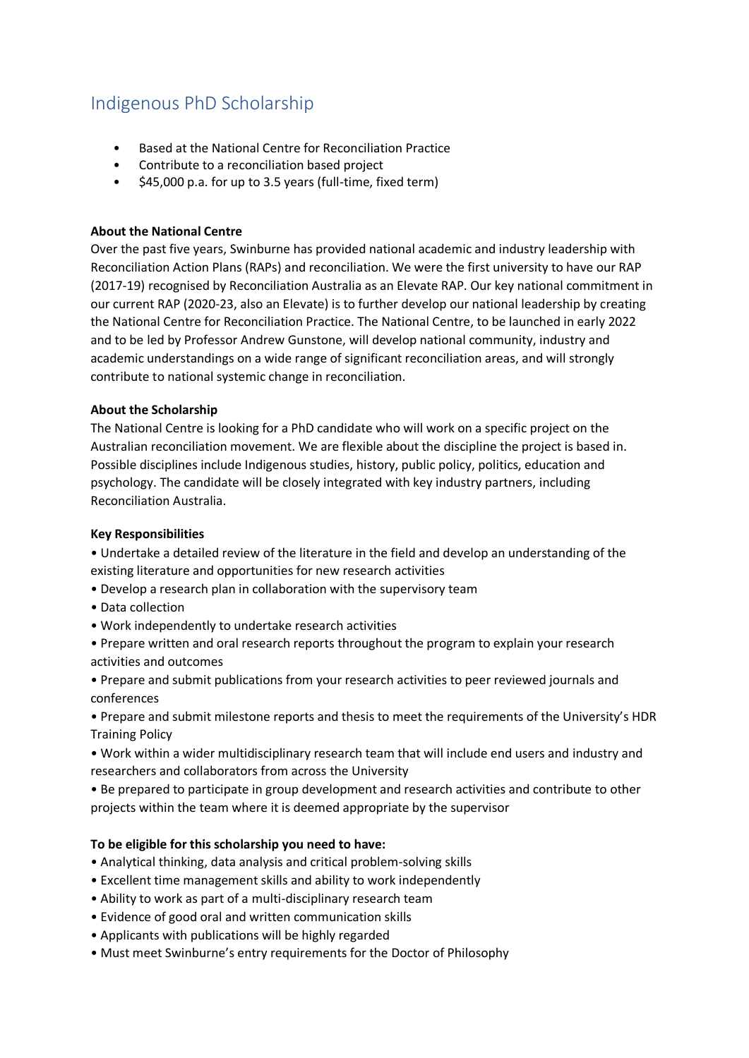# Indigenous PhD Scholarship

- Based at the National Centre for Reconciliation Practice
- Contribute to a reconciliation based project
- \$45,000 p.a. for up to 3.5 years (full-time, fixed term)

# **About the National Centre**

Over the past five years, Swinburne has provided national academic and industry leadership with Reconciliation Action Plans (RAPs) and reconciliation. We were the first university to have our RAP (2017-19) recognised by Reconciliation Australia as an Elevate RAP. Our key national commitment in our current RAP (2020-23, also an Elevate) is to further develop our national leadership by creating the National Centre for Reconciliation Practice. The National Centre, to be launched in early 2022 and to be led by Professor Andrew Gunstone, will develop national community, industry and academic understandings on a wide range of significant reconciliation areas, and will strongly contribute to national systemic change in reconciliation.

# **About the Scholarship**

The National Centre is looking for a PhD candidate who will work on a specific project on the Australian reconciliation movement. We are flexible about the discipline the project is based in. Possible disciplines include Indigenous studies, history, public policy, politics, education and psychology. The candidate will be closely integrated with key industry partners, including Reconciliation Australia.

# **Key Responsibilities**

- Undertake a detailed review of the literature in the field and develop an understanding of the existing literature and opportunities for new research activities
- Develop a research plan in collaboration with the supervisory team
- Data collection
- Work independently to undertake research activities
- Prepare written and oral research reports throughout the program to explain your research activities and outcomes
- Prepare and submit publications from your research activities to peer reviewed journals and conferences
- Prepare and submit milestone reports and thesis to meet the requirements of the University's HDR Training Policy
- Work within a wider multidisciplinary research team that will include end users and industry and researchers and collaborators from across the University
- Be prepared to participate in group development and research activities and contribute to other projects within the team where it is deemed appropriate by the supervisor

# **To be eligible for this scholarship you need to have:**

- Analytical thinking, data analysis and critical problem-solving skills
- Excellent time management skills and ability to work independently
- Ability to work as part of a multi-disciplinary research team
- Evidence of good oral and written communication skills
- Applicants with publications will be highly regarded
- Must meet Swinburne's entry requirements for the Doctor of Philosophy